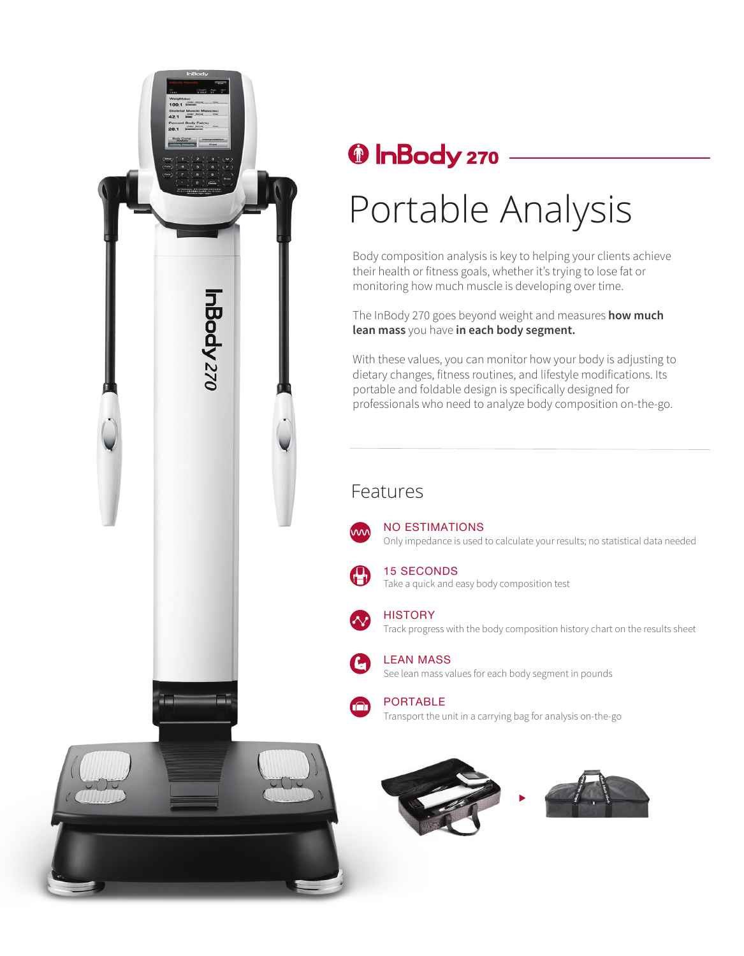

## <sup><sup>0</sup> InBody 270</sup>

# Portable Analysis

Body composition analysis is key to helping your clients achieve their health or fitness goals, whether it's trying to lose fat or monitoring how much muscle is developing over time.

The InBody 270 goes beyond weight and measures **how much lean mass** you have **in each body segment.**

With these values, you can monitor how your body is adjusting to dietary changes, fitness routines, and lifestyle modifications. Its portable and foldable design is specifically designed for professionals who need to analyze body composition on-the-go.

### Features



Only impedance is used to calculate your results; no statistical data needed NO ESTIMATIONS



Take a quick and easy body composition test 15 SECONDS



Track progress with the body composition history chart on the results sheet **HISTORY** 



See lean mass values for each body segment in pounds LEAN MASS



Transport the unit in a carrying bag for analysis on-the-go PORTABLE